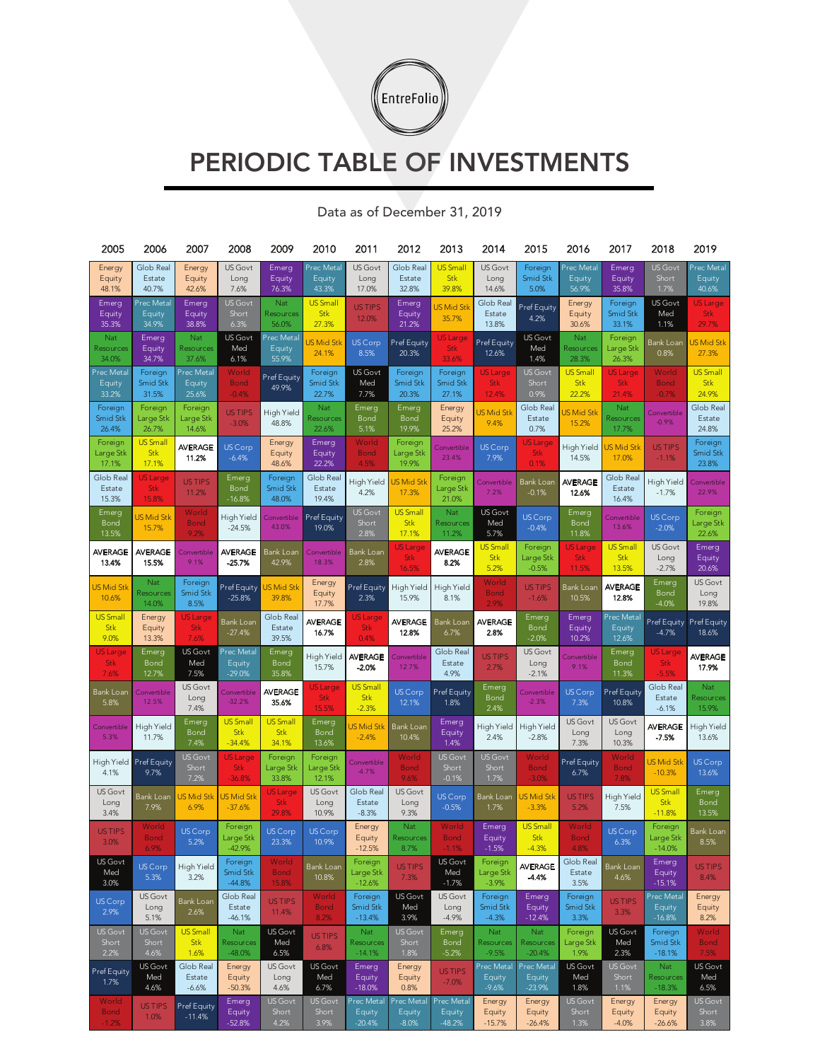

## PERIODIC TABLE OF INVESTMENTS

| 2005                   | 2006                          | 2007                    | 2008                        | 2009                          | 2010                 | 2011                    | 2012                          | 2013                      | 2014                     | 2015                          | 2016                   | 2017                          | 2018                          | 2019                    |
|------------------------|-------------------------------|-------------------------|-----------------------------|-------------------------------|----------------------|-------------------------|-------------------------------|---------------------------|--------------------------|-------------------------------|------------------------|-------------------------------|-------------------------------|-------------------------|
| Energy                 | Glob Real                     | Energy                  | US Govt                     | Emerg                         | Prec Metal           | US Govt                 | Glob Real                     | <b>US Small</b>           | US Govt                  | Foreign                       | Prec Metal             | Emerg                         | <b>US Govt</b>                | Prec Metal              |
| Equity<br>48.1%        | Estate<br>40.7%               | Equity<br>42.6%         | Long<br>7.6%                | Equity<br>76.3%               | Equity<br>43.3%      | Long<br>17.0%           | Estate<br>32.8%               | <b>Stk</b><br>39.8%       | Long<br>14.6%            | Smid Stk<br>5.0%              | Equity<br>56.9%        | Equity<br>35.8%               | Short<br>1.7%                 | Equity<br>40.6%         |
| Emerg                  | Prec Metal                    | Emerg                   | US Govt                     | Nat                           | <b>US Small</b>      | <b>USTIPS</b>           | Emerg                         | <b>US Mid Stk</b>         | Glob Real                | Pref Equity                   | Energy                 | Foreign                       | <b>US Govt</b>                | <b>US</b> Large         |
| Equity<br>35.3%        | Equity<br>34.9%               | Equity<br>38.8%         | Short<br>6.3%               | Resources<br>56.0%            | <b>Stk</b><br>27.3%  | 12.0%                   | Equity<br>21.2%               | 35.7%                     | Estate<br>13.8%          | 4.2%                          | Equity<br>30.6%        | Smid Stk<br>33.1%             | Med<br>1.1%                   | <b>Stk</b><br>29.7%     |
| Nat                    | Emerg                         | Nat                     | US Govt                     | Prec Metal                    | JS Mid Stk           | <b>US Corp</b>          | Pref Equity                   | <b>US Large</b>           | Pref Equity              | US Govt                       | Nat                    | Foreign                       | Bank Loan                     | JS Mid Stk              |
| Resources<br>34.0%     | Equity<br>34.7%               | Resources<br>37.6%      | Med<br>6.1%                 | Equity<br>55.9%               | 24.1%                | 8.5%                    | 20.3%                         | <b>Stk</b><br>33.6%       | 12.6%                    | Med<br>1.4%                   | Resources<br>28.3%     | Large Stk<br>26.3%            | 0.8%                          | 27.3%                   |
| Prec Metal             | Foreign                       | Prec Metal              | World                       |                               | Foreign              | US Govt                 | Foreign                       | Foreign                   | <b>US Large</b>          | <b>US Govt</b>                | <b>US Small</b>        | <b>US</b> Large               | World                         | <b>US Small</b>         |
| Equity                 | <b>Smid Stk</b>               | Equity                  | <b>Bond</b>                 | Pref Equity<br>49.9%          | <b>Smid Stk</b>      | Med                     | <b>Smid Stk</b>               | Smid Stk                  | <b>Stk</b>               | Short                         | Stk                    | <b>Stk</b>                    | <b>Bond</b>                   | Stk                     |
| 33.2%<br>Foreign       | 31.5%<br>Foreign              | 25.6%<br>Foreign        | $-0.4%$                     |                               | 22.7%<br>Nat         | 7.7%<br>Emerg           | 20.3%<br>Emerg                | 27.1%<br>Energy           | 12.4%                    | 0.9%<br>Glob Real             | 22.2%                  | 21.4%<br>Nat                  | $-0.7%$                       | 24.9%<br>Glob Real      |
| <b>Smid Stk</b>        | Large Stk                     | Large Stk               | US TIPS<br>$-3.0%$          | High Yield<br>48.8%           | Resources            | Bond                    | Bond                          | Equity                    | US Mid Stk<br>9.4%       | Estate                        | JS Mid Stk<br>15.2%    | Resources                     | Convertible<br>$-0.9%$        | Estate                  |
| 26.4%                  | 26.7%                         | 14.6%                   |                             |                               | 22.6%                | 5.1%                    | 19.9%                         | 25.2%                     |                          | 0.7%                          |                        | 17.7%                         |                               | 24.8%                   |
| Foreign<br>Large Stk   | <b>US Small</b><br>Stk        | <b>AVERAGE</b><br>11.2% | US Corp<br>$-6.4%$          | Energy<br>Equity              | Emerg<br>Equity      | World<br><b>Bond</b>    | Foreign<br>Large Stk          | Convertible<br>23.4%      | US Corp<br>7.9%          | <b>US Large</b><br><b>Stk</b> | High Yield<br>14.5%    | <b>JS Mid Stk</b><br>17.0%    | <b>US TIPS</b><br>$-1.1%$     | Foreign<br>Smid Stk     |
| 17.1%                  | 17.1%                         |                         |                             | 48.6%                         | 22.2%                | 4.5%                    | 19.9%                         |                           |                          | 0.1%                          |                        |                               |                               | 23.8%                   |
| Glob Real<br>Estate    | <b>US</b> Large<br><b>Stk</b> | <b>US TIPS</b>          | Emerg<br>Bond               | Foreign<br>Smid Stk           | Glob Real<br>Estate  | High Yield              | JS Mid Stk                    | Foreign<br>Large Stk      | Convertible<br>7.2%      | Bank Loan                     | <b>AVERAGE</b>         | Glob Real<br>Estate           | High Yield                    | Convertible<br>22.9%    |
| 15.3%                  | 15.8%                         | 11.2%                   | $-16.8%$                    | 48.0%                         | 19.4%                | 4.2%                    | 17.3%                         | 21.0%                     |                          | $-0.1%$                       | 12.6%                  | 16.4%                         | $-1.7%$                       |                         |
| Emerg<br>Bond          | JS Mid Stk                    | World<br><b>Bond</b>    | High Yield                  | Convertible                   | Pref Equity          | <b>US Govt</b><br>Short | <b>US Small</b><br><b>Stk</b> | Nat<br>Resources          | US Govt<br>Med           | <b>US Corp</b>                | Emerg<br>Bond          | Convertible                   | <b>US Corp</b>                | Foreign<br>Large Stk    |
| 13.5%                  | 15.7%                         | 9.2%                    | $-24.5%$                    | 43.0%                         | 19.0%                | 2.8%                    | 17.1%                         | 11.2%                     | 5.7%                     | $-0.4%$                       | 11.8%                  | 13.6%                         | $-2.0%$                       | 22.6%                   |
| <b>AVERAGE</b>         | <b>AVERAGE</b>                | Convertible             | <b>AVERAGE</b>              | Bank Loan                     | Convertible          | <b>Bank Loan</b>        | US Large<br><b>Stk</b>        | AVERAGE                   | <b>US Small</b><br>Stk   | Foreign<br>Large Stk          | <b>US Large</b><br>Stk | <b>US Small</b><br><b>Stk</b> | US Govt<br>Long               | Emerg<br>Equity         |
| 13.4%                  | 15.5%                         | 9.1%                    | $-25.7%$                    | 42.9%                         | 18.3%                | 2.8%                    | 16.5%                         | 8.2%                      | 5.2%                     | $-0.5%$                       | 11.5%                  | 13.5%                         | $-2.7%$                       | 20.6%                   |
| US Mid Stk             | Nat                           | Foreign                 | Pref Equity                 | <b>JS Mid Stk</b>             | Energy               | Pref Equity             | High Yield                    | High Yield                | World                    | <b>USTIPS</b>                 | Bank Loan              | <b>AVERAGE</b>                | Emerg                         | US Govt                 |
| 10.6%                  | Resources<br>14.0%            | Smid Stk<br>8.5%        | $-25.8%$                    | 39.8%                         | Equity<br>17.7%      | 2.3%                    | 15.9%                         | 8.1%                      | <b>Bond</b><br>2.9%      | $-1.6%$                       | 10.5%                  | 12.8%                         | <b>Bond</b><br>$-4.0%$        | Long<br>19.8%           |
| <b>US Small</b>        | Energy                        | <b>US</b> Large         | Bank Loan                   | Glob Real                     | <b>AVERAGE</b>       | <b>US</b> Large         | <b>AVERAGE</b>                | Bank Loan                 | <b>AVERAGE</b>           | Emerg                         | Emerg                  | Prec Metal                    | Pref Equity                   | Pref Equity             |
| Stk<br>9.0%            | Equity<br>13.3%               | <b>Stk</b><br>7.6%      | $-27.4%$                    | Estate<br>39.5%               | 16.7%                | <b>Stk</b><br>0.4%      | 12.8%                         | 6.7%                      | 2.8%                     | <b>Bond</b><br>$-2.0%$        | Equity<br>10.2%        | Equity<br>12.6%               | $-4.7%$                       | 18.6%                   |
| <b>US</b> Large        | Emerg                         | US Govt                 | Prec Metal                  | Emerg                         | High Yield           | <b>AVERAGE</b>          | Convertible                   | Glob Real                 | <b>US TIPS</b>           | US Govt                       | Convertible            | Emerg                         | <b>US Large</b>               | <b>AVERAGE</b>          |
| <b>Stk</b><br>7.6%     | Bond<br>12.7%                 | Med<br>7.5%             | Equity<br>$-29.0%$          | Bond<br>35.8%                 | 15.7%                | $-2.0%$                 | 12.7%                         | Estate<br>4.9%            | 2.7%                     | Long<br>$-2.1%$               | 9.1%                   | Bond<br>11.3%                 | <b>Stk</b><br>$-5.5%$         | 17.9%                   |
|                        |                               | US Govt                 |                             |                               | US Large             | <b>US Small</b>         |                               |                           | Emerg                    |                               |                        |                               | Glob Real                     | Nat                     |
| Bank Loan<br>5.8%      | Convertible<br>12.5%          | Long                    | Convertible<br>$-32.2%$     | <b>AVERAGE</b><br>35.6%       | <b>Stk</b>           | Stk                     | <b>US Corp</b><br>12.1%       | Pref Equity<br>1.8%       | Bond                     | Convertible<br>$-2.3%$        | US Corp<br>7.3%        | Pref Equity<br>10.8%          | Estate                        | Resources               |
|                        |                               | 7.4%<br>Emerg           | <b>US Small</b>             | <b>US Small</b>               | 15.5%<br>Emerg       | $-2.3%$                 |                               | Emerg                     | 2.4%                     |                               | US Govt                | US Govt                       | $-6.1%$                       | 15.9%                   |
| Convertible<br>5.3%    | High Yield<br>11.7%           | <b>Bond</b>             | <b>Stk</b>                  | Stk                           | Bond                 | JS Mid Stk<br>$-2.4%$   | Bank Loan<br>10.4%            | Equity                    | High Yield<br>2.4%       | High Yield<br>$-2.8%$         | Long                   | Long                          | AVERAGE<br>-7.5%              | High Yield<br>13.6%     |
|                        |                               | 7.4%<br>US Govt         | $-34.4%$<br><b>US</b> Large | 34.1%<br>Foreign              | 13.6%<br>Foreign     |                         | World                         | 1.4%<br><b>US Govt</b>    | US Govt                  | World                         | 7.3%                   | 10.3%<br>World                |                               |                         |
| High Yield<br>4.1%     | Pref Equity<br>9.7%           | Short                   | <b>Stk</b>                  | Large Stk                     | Large Stk            | Convertible<br>$-4.7%$  | <b>Bond</b>                   | Short                     | Short                    | <b>Bond</b>                   | Pref Equity<br>6.7%    | <b>Bond</b>                   | US Mid Stk<br>$-10.3%$        | <b>US Corp</b><br>13.6% |
|                        |                               | 7.2%                    | $-36.8%$                    | 33.8%                         | 12.1%                |                         | 9.6%                          | $-0.1%$                   | 1.7%                     | $-3.0%$                       |                        | 7.8%                          |                               |                         |
| US Govt<br>Long        | <b>Bank Loan</b><br>7.9%      | US Mid Stk<br>6.9%      | JS Mid Stk<br>$-37.6%$      | <b>US Large</b><br><b>Stk</b> | US Govt<br>Long      | Glob Real<br>Estate     | US Govt<br>Long               | <b>US Corp</b><br>$-0.5%$ | <b>Bank Loan</b><br>1.7% | US Mid Stk<br>$-3.3%$         | <b>US TIPS</b><br>5.2% | High Yield<br>7.5%            | <b>US Small</b><br><b>Stk</b> | Emerg<br>Bond           |
| 3.4%                   |                               |                         |                             | 29.8%                         | 10.9%                | $-8.3%$                 | 9.3%                          |                           |                          |                               |                        |                               | $-11.8%$                      | 13.5%                   |
| <b>USTIPS</b>          | World<br><b>Bond</b>          | <b>US Corp</b>          | Foreign<br>Large Stk        | US Corp                       | US Corp              | Energy<br>Equity        | Nat<br>Resources              | World<br><b>Bond</b>      | Emerg<br>Equity          | <b>US Small</b><br><b>Stk</b> | World<br><b>Bond</b>   | US Corp                       | Foreign<br>Large Stk          | Bank Loan               |
| 3.0%                   |                               | 5.2%                    | $-42.9%$                    | 23.3%                         | 10.9%                | $-12.5%$                | 8.7%                          |                           | $-1.5%$                  | $-4.3%$                       | 4.8%                   | 6.3%                          | $-14.0%$                      | 8.5%                    |
| US Govt<br>Med         | US Corp                       | High Yield              | Foreign<br>Smid Stk         | World<br><b>Bond</b>          | Bank Loan            | Foreign<br>Large Stk    | <b>US TIPS</b>                | US Govt<br>Med            | Foreign<br>Large Stk     | <b>AVERAGE</b>                | Glob Real<br>Estate    | Bank Loan                     | Emerg<br>Equity               | <b>USTIPS</b>           |
| 3.0%                   | 5.3%                          | 3.2%                    | $-44.8%$                    | 15.8%                         | 10.8%                | $-12.6%$                | 7.3%                          | $-1.7%$                   | $-3.9%$                  | $-4.4%$                       | 3.5%                   | 4.6%                          | $-15.1%$                      | 8.4%                    |
| US Corp                | <b>US Govt</b><br>Long        | <b>Bank Loan</b>        | Glob Real<br>Estate         | <b>US TIPS</b>                | World<br><b>Bond</b> | Foreign<br>Smid Stk     | US Govt<br>Med                | US Govt<br>Long           | Foreign<br>Smid Stk      | Emerg                         | Foreign<br>Smid Stk    | <b>US TIPS</b>                | Prec Metal                    | Energy                  |
| 2.9%                   | 5.1%                          | 2.6%                    | $-46.1%$                    | 11.4%                         | 8.2%                 | $-13.4%$                | 3.9%                          | $-4.9%$                   | $-4.3%$                  | Equity<br>$-12.4%$            | 3.3%                   | 3.3%                          | Equity<br>$-16.8%$            | Equity<br>8.2%          |
| <b>US Govt</b>         | US Govt                       | <b>US Small</b>         | Nat                         | US Govt                       | <b>US TIPS</b>       | Nat                     | <b>US Govt</b>                | Emerg                     | Nat                      | Nat                           | Foreign                | US Govt                       | Foreign                       | World                   |
| Short<br>2.2%          | Short<br>4.6%                 | <b>Stk</b><br>1.6%      | Resources<br>$-48.0%$       | Med<br>6.5%                   | 6.8%                 | Resources<br>$-14.1%$   | Short<br>1.8%                 | Bond<br>$-5.2%$           | Resources<br>$-9.5%$     | Resources<br>$-20.4%$         | Large Stk<br>1.9%      | Med<br>2.3%                   | Smid Stk<br>$-18.1%$          | <b>Bond</b><br>7.5%     |
| Pref Equity            | US Govt                       | Glob Real               | Energy                      | <b>US Govt</b>                | US Govt              | Emerg                   | Energy                        | <b>USTIPS</b>             | Prec Metal               | Prec Metal                    | US Govt                | <b>US Govt</b>                | Nat                           | US Govt                 |
| 1.7%                   | Med<br>4.6%                   | Estate<br>$-6.6%$       | Equity<br>$-50.3%$          | Long<br>4.6%                  | Med<br>6.7%          | Equity<br>$-18.0%$      | Equity<br>0.8%                | $-7.0%$                   | Equity<br>$-9.6%$        | Equity<br>$-23.9%$            | Med<br>1.8%            | Short<br>1.1%                 | Resources<br>$-18.3%$         | Med<br>6.5%             |
| World                  | <b>USTIPS</b>                 | Pref Equity             | Emerg                       | <b>US Govt</b>                | <b>US Govt</b>       | Prec Metal              | Prec Metal                    | Prec Metal                | Energy                   | Energy                        | <b>US Govt</b>         | Energy                        | Energy                        | US Govt                 |
| <b>Bond</b><br>$-1.2%$ | 1.0%                          | $-11.4%$                | Equity<br>$-52.8%$          | Short<br>4.2%                 | Short<br>3.9%        | Equity<br>$-20.4%$      | Equity<br>$-8.0%$             | Equity<br>$-48.2%$        | Equity<br>$-15.7%$       | Equity<br>$-26.4%$            | Short<br>1.3%          | Equity<br>$-4.0%$             | Equity<br>$-26.6%$            | Short<br>3.8%           |
|                        |                               |                         |                             |                               |                      |                         |                               |                           |                          |                               |                        |                               |                               |                         |

## Data as of December 31, 2019